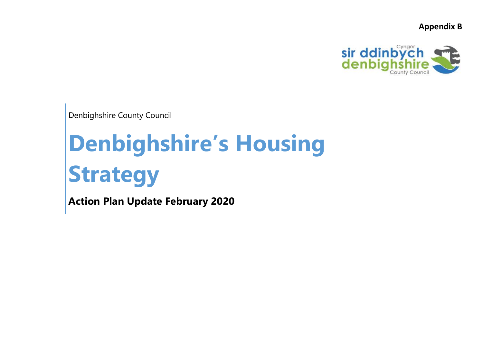**Appendix B**



Denbighshire County Council

## **Denbighshire's Housing Strategy**

**Action Plan Update February 2020**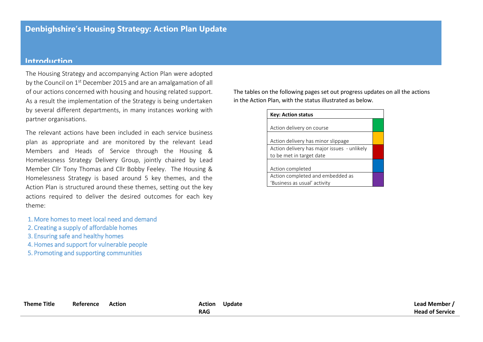## **Introduction**

The Housing Strategy and accompanying Action Plan were adopted by the Council on 1<sup>st</sup> December 2015 and are an amalgamation of all of our actions concerned with housing and housing related support. As a result the implementation of the Strategy is being undertaken by several different departments, in many instances working with partner organisations.

The relevant actions have been included in each service business plan as appropriate and are monitored by the relevant Lead Members and Heads of Service through the Housing & Homelessness Strategy Delivery Group, jointly chaired by Lead Member Cllr Tony Thomas and Cllr Bobby Feeley. The Housing & Homelessness Strategy is based around 5 key themes, and the Action Plan is structured around these themes, setting out the key actions required to deliver the desired outcomes for each key theme:

- 1. More homes to meet local need and demand
- 2. Creating a supply of affordable homes
- 3. Ensuring safe and healthy homes
- 4. Homes and support for vulnerable people

5. Promoting and supporting communities

The tables on the following pages set out progress updates on all the actions in the Action Plan, with the status illustrated as below.

| <b>Key: Action status</b>                   |  |  |  |  |  |
|---------------------------------------------|--|--|--|--|--|
|                                             |  |  |  |  |  |
| Action delivery on course                   |  |  |  |  |  |
| Action delivery has minor slippage          |  |  |  |  |  |
| Action delivery has major issues - unlikely |  |  |  |  |  |
| to be met in target date                    |  |  |  |  |  |
|                                             |  |  |  |  |  |
| Action completed                            |  |  |  |  |  |
| Action completed and embedded as            |  |  |  |  |  |
| 'Business as usual' activity                |  |  |  |  |  |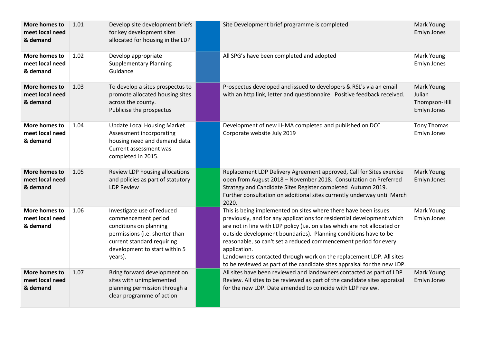| More homes to<br>meet local need<br>& demand | 1.01 | Develop site development briefs<br>for key development sites<br>allocated for housing in the LDP                                                                                        | Site Development brief programme is completed                                                                                                                                                                                                                                                                                                                                                                                                                                                                                    | Mark Young<br>Emlyn Jones                            |
|----------------------------------------------|------|-----------------------------------------------------------------------------------------------------------------------------------------------------------------------------------------|----------------------------------------------------------------------------------------------------------------------------------------------------------------------------------------------------------------------------------------------------------------------------------------------------------------------------------------------------------------------------------------------------------------------------------------------------------------------------------------------------------------------------------|------------------------------------------------------|
| More homes to<br>meet local need<br>& demand | 1.02 | Develop appropriate<br><b>Supplementary Planning</b><br>Guidance                                                                                                                        | All SPG's have been completed and adopted                                                                                                                                                                                                                                                                                                                                                                                                                                                                                        | Mark Young<br>Emlyn Jones                            |
| More homes to<br>meet local need<br>& demand | 1.03 | To develop a sites prospectus to<br>promote allocated housing sites<br>across the county.<br>Publicise the prospectus                                                                   | Prospectus developed and issued to developers & RSL's via an email<br>with an http link, letter and questionnaire. Positive feedback received.                                                                                                                                                                                                                                                                                                                                                                                   | Mark Young<br>Julian<br>Thompson-Hill<br>Emlyn Jones |
| More homes to<br>meet local need<br>& demand | 1.04 | <b>Update Local Housing Market</b><br>Assessment incorporating<br>housing need and demand data.<br>Current assessment was<br>completed in 2015.                                         | Development of new LHMA completed and published on DCC<br>Corporate website July 2019                                                                                                                                                                                                                                                                                                                                                                                                                                            | Tony Thomas<br>Emlyn Jones                           |
| More homes to<br>meet local need<br>& demand | 1.05 | Review LDP housing allocations<br>and policies as part of statutory<br><b>LDP Review</b>                                                                                                | Replacement LDP Delivery Agreement approved, Call for Sites exercise<br>open from August 2018 - November 2018. Consultation on Preferred<br>Strategy and Candidate Sites Register completed Autumn 2019.<br>Further consultation on additional sites currently underway until March<br>2020.                                                                                                                                                                                                                                     | Mark Young<br>Emlyn Jones                            |
| More homes to<br>meet local need<br>& demand | 1.06 | Investigate use of reduced<br>commencement period<br>conditions on planning<br>permissions (i.e. shorter than<br>current standard requiring<br>development to start within 5<br>years). | This is being implemented on sites where there have been issues<br>previously, and for any applications for residential development which<br>are not in line with LDP policy (i.e. on sites which are not allocated or<br>outside development boundaries). Planning conditions have to be<br>reasonable, so can't set a reduced commencement period for every<br>application.<br>Landowners contacted through work on the replacement LDP. All sites<br>to be reviewed as part of the candidate sites appraisal for the new LDP. | Mark Young<br>Emlyn Jones                            |
| More homes to<br>meet local need<br>& demand | 1.07 | Bring forward development on<br>sites with unimplemented<br>planning permission through a<br>clear programme of action                                                                  | All sites have been reviewed and landowners contacted as part of LDP<br>Review. All sites to be reviewed as part of the candidate sites appraisal<br>for the new LDP. Date amended to coincide with LDP review.                                                                                                                                                                                                                                                                                                                  | Mark Young<br>Emlyn Jones                            |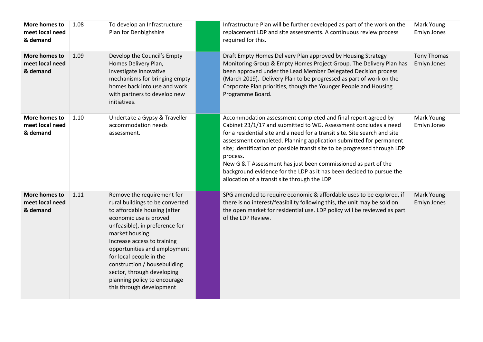| More homes to<br>meet local need<br>& demand | 1.08 | To develop an Infrastructure<br>Plan for Denbighshire                                                                                                                                                                                                                                                                                                                                            | Infrastructure Plan will be further developed as part of the work on the<br>replacement LDP and site assessments. A continuous review process<br>required for this.                                                                                                                                                                                                                                                                                                                                                                                                       | Mark Young<br>Emlyn Jones         |
|----------------------------------------------|------|--------------------------------------------------------------------------------------------------------------------------------------------------------------------------------------------------------------------------------------------------------------------------------------------------------------------------------------------------------------------------------------------------|---------------------------------------------------------------------------------------------------------------------------------------------------------------------------------------------------------------------------------------------------------------------------------------------------------------------------------------------------------------------------------------------------------------------------------------------------------------------------------------------------------------------------------------------------------------------------|-----------------------------------|
| More homes to<br>meet local need<br>& demand | 1.09 | Develop the Council's Empty<br>Homes Delivery Plan,<br>investigate innovative<br>mechanisms for bringing empty<br>homes back into use and work<br>with partners to develop new<br>initiatives.                                                                                                                                                                                                   | Draft Empty Homes Delivery Plan approved by Housing Strategy<br>Monitoring Group & Empty Homes Project Group. The Delivery Plan has<br>been approved under the Lead Member Delegated Decision process<br>(March 2019). Delivery Plan to be progressed as part of work on the<br>Corporate Plan priorities, though the Younger People and Housing<br>Programme Board.                                                                                                                                                                                                      | <b>Tony Thomas</b><br>Emlyn Jones |
| More homes to<br>meet local need<br>& demand | 1.10 | Undertake a Gypsy & Traveller<br>accommodation needs<br>assessment.                                                                                                                                                                                                                                                                                                                              | Accommodation assessment completed and final report agreed by<br>Cabinet 23/1/17 and submitted to WG. Assessment concludes a need<br>for a residential site and a need for a transit site. Site search and site<br>assessment completed. Planning application submitted for permanent<br>site; identification of possible transit site to be progressed through LDP<br>process.<br>New G & T Assessment has just been commissioned as part of the<br>background evidence for the LDP as it has been decided to pursue the<br>allocation of a transit site through the LDP | Mark Young<br>Emlyn Jones         |
| More homes to<br>meet local need<br>& demand | 1.11 | Remove the requirement for<br>rural buildings to be converted<br>to affordable housing (after<br>economic use is proved<br>unfeasible), in preference for<br>market housing.<br>Increase access to training<br>opportunities and employment<br>for local people in the<br>construction / housebuilding<br>sector, through developing<br>planning policy to encourage<br>this through development | SPG amended to require economic & affordable uses to be explored, if<br>there is no interest/feasibility following this, the unit may be sold on<br>the open market for residential use. LDP policy will be reviewed as part<br>of the LDP Review.                                                                                                                                                                                                                                                                                                                        | Mark Young<br>Emlyn Jones         |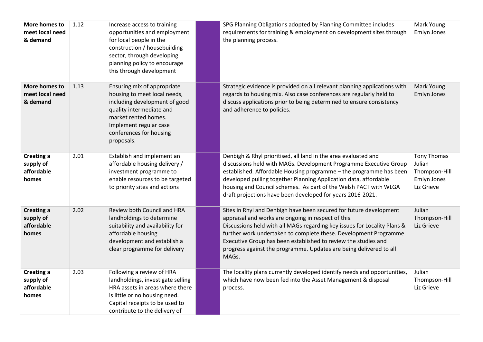| More homes to<br>meet local need<br>& demand          | 1.12 | Increase access to training<br>opportunities and employment<br>for local people in the<br>construction / housebuilding<br>sector, through developing<br>planning policy to encourage<br>this through development    | SPG Planning Obligations adopted by Planning Committee includes<br>requirements for training & employment on development sites through<br>the planning process.                                                                                                                                                                                                                                                            | Mark Young<br>Emlyn Jones                                           |
|-------------------------------------------------------|------|---------------------------------------------------------------------------------------------------------------------------------------------------------------------------------------------------------------------|----------------------------------------------------------------------------------------------------------------------------------------------------------------------------------------------------------------------------------------------------------------------------------------------------------------------------------------------------------------------------------------------------------------------------|---------------------------------------------------------------------|
| More homes to<br>meet local need<br>& demand          | 1.13 | Ensuring mix of appropriate<br>housing to meet local needs,<br>including development of good<br>quality intermediate and<br>market rented homes.<br>Implement regular case<br>conferences for housing<br>proposals. | Strategic evidence is provided on all relevant planning applications with<br>regards to housing mix. Also case conferences are regularly held to<br>discuss applications prior to being determined to ensure consistency<br>and adherence to policies.                                                                                                                                                                     | Mark Young<br>Emlyn Jones                                           |
| <b>Creating a</b><br>supply of<br>affordable<br>homes | 2.01 | Establish and implement an<br>affordable housing delivery /<br>investment programme to<br>enable resources to be targeted<br>to priority sites and actions                                                          | Denbigh & Rhyl prioritised, all land in the area evaluated and<br>discussions held with MAGs. Development Programme Executive Group<br>established. Affordable Housing programme - the programme has been<br>developed pulling together Planning Application data, affordable<br>housing and Council schemes. As part of the Welsh PACT with WLGA<br>draft projections have been developed for years 2016-2021.            | Tony Thomas<br>Julian<br>Thompson-Hill<br>Emlyn Jones<br>Liz Grieve |
| <b>Creating a</b><br>supply of<br>affordable<br>homes | 2.02 | Review both Council and HRA<br>landholdings to determine<br>suitability and availability for<br>affordable housing<br>development and establish a<br>clear programme for delivery                                   | Sites in Rhyl and Denbigh have been secured for future development<br>appraisal and works are ongoing in respect of this.<br>Discussions held with all MAGs regarding key issues for Locality Plans &<br>further work undertaken to complete these. Development Programme<br>Executive Group has been established to review the studies and<br>progress against the programme. Updates are being delivered to all<br>MAGs. | Julian<br>Thompson-Hill<br>Liz Grieve                               |
| <b>Creating a</b><br>supply of<br>affordable<br>homes | 2.03 | Following a review of HRA<br>landholdings, investigate selling<br>HRA assets in areas where there<br>is little or no housing need.<br>Capital receipts to be used to<br>contribute to the delivery of               | The locality plans currently developed identify needs and opportunities,<br>which have now been fed into the Asset Management & disposal<br>process.                                                                                                                                                                                                                                                                       | Julian<br>Thompson-Hill<br>Liz Grieve                               |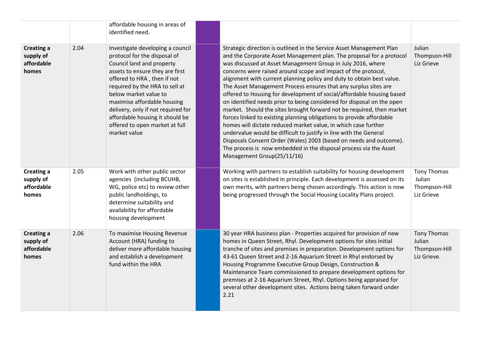|                                                       |      | affordable housing in areas of<br>identified need.                                                                                                                                                                                                                                                                                                                                   |                                                                                                                                                                                                                                                                                                                                                                                                                                                                                                                                                                                                                                                                                                                                                                                                                                                                                                                                                                                                                                              |                                                              |
|-------------------------------------------------------|------|--------------------------------------------------------------------------------------------------------------------------------------------------------------------------------------------------------------------------------------------------------------------------------------------------------------------------------------------------------------------------------------|----------------------------------------------------------------------------------------------------------------------------------------------------------------------------------------------------------------------------------------------------------------------------------------------------------------------------------------------------------------------------------------------------------------------------------------------------------------------------------------------------------------------------------------------------------------------------------------------------------------------------------------------------------------------------------------------------------------------------------------------------------------------------------------------------------------------------------------------------------------------------------------------------------------------------------------------------------------------------------------------------------------------------------------------|--------------------------------------------------------------|
| <b>Creating a</b><br>supply of<br>affordable<br>homes | 2.04 | Investigate developing a council<br>protocol for the disposal of<br>Council land and property<br>assets to ensure they are first<br>offered to HRA, then if not<br>required by the HRA to sell at<br>below market value to<br>maximise affordable housing<br>delivery, only if not required for<br>affordable housing it should be<br>offered to open market at full<br>market value | Strategic direction is outlined in the Service Asset Management Plan<br>and the Corporate Asset Management plan. The proposal for a protocol<br>was discussed at Asset Management Group in July 2016, where<br>concerns were raised around scope and impact of the protocol,<br>alignment with current planning policy and duty to obtain best value.<br>The Asset Management Process ensures that any surplus sites are<br>offered to Housing for development of social/affordable housing based<br>on identified needs prior to being considered for disposal on the open<br>market. Should the sites brought forward not be required, then market<br>forces linked to existing planning obligations to provide affordable<br>homes will dictate reduced market value, in which case further<br>undervalue would be difficult to justify in line with the General<br>Disposals Consent Order (Wales) 2003 (based on needs and outcome).<br>The process is now embedded in the disposal process via the Asset<br>Management Group(25/11/16) | Julian<br>Thompson-Hill<br>Liz Grieve                        |
| <b>Creating a</b><br>supply of<br>affordable<br>homes | 2.05 | Work with other public sector<br>agencies (including BCUHB,<br>WG, police etc) to review other<br>public landholdings, to<br>determine suitability and<br>availability for affordable<br>housing development                                                                                                                                                                         | Working with partners to establish suitability for housing development<br>on sites is established in principle. Each development is assessed on its<br>own merits, with partners being chosen accordingly. This action is now<br>being progressed through the Social Housing Locality Plans project.                                                                                                                                                                                                                                                                                                                                                                                                                                                                                                                                                                                                                                                                                                                                         | <b>Tony Thomas</b><br>Julian<br>Thompson-Hill<br>Liz Grieve  |
| <b>Creating a</b><br>supply of<br>affordable<br>homes | 2.06 | To maximise Housing Revenue<br>Account (HRA) funding to<br>deliver more affordable housing<br>and establish a development<br>fund within the HRA                                                                                                                                                                                                                                     | 30 year HRA business plan - Properties acquired for provision of new<br>homes in Queen Street, Rhyl. Development options for sites initial<br>tranche of sites and premises in preparation. Development options for<br>43-61 Queen Street and 2-16 Aquarium Street in Rhyl endorsed by<br>Housing Programme Executive Group Design, Construction &<br>Maintenance Team commissioned to prepare development options for<br>premises at 2-16 Aquarium Street, Rhyl. Options being appraised for<br>several other development sites. Actions being taken forward under<br>2.21                                                                                                                                                                                                                                                                                                                                                                                                                                                                  | <b>Tony Thomas</b><br>Julian<br>Thompson-Hill<br>Liz Grieve. |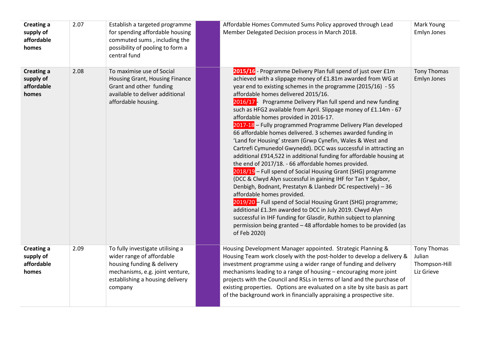| <b>Creating a</b><br>supply of<br>affordable<br>homes | 2.07 | Establish a targeted programme<br>for spending affordable housing<br>commuted sums, including the<br>possibility of pooling to form a<br>central fund                        | Affordable Homes Commuted Sums Policy approved through Lead<br>Member Delegated Decision process in March 2018.                                                                                                                                                                                                                                                                                                                                                                                                                                                                                                                                                                                                                                                                                                                                                                                                                                                                                                                                                                                                                                                                                                                                                                                                                      | Mark Young<br>Emlyn Jones                            |
|-------------------------------------------------------|------|------------------------------------------------------------------------------------------------------------------------------------------------------------------------------|--------------------------------------------------------------------------------------------------------------------------------------------------------------------------------------------------------------------------------------------------------------------------------------------------------------------------------------------------------------------------------------------------------------------------------------------------------------------------------------------------------------------------------------------------------------------------------------------------------------------------------------------------------------------------------------------------------------------------------------------------------------------------------------------------------------------------------------------------------------------------------------------------------------------------------------------------------------------------------------------------------------------------------------------------------------------------------------------------------------------------------------------------------------------------------------------------------------------------------------------------------------------------------------------------------------------------------------|------------------------------------------------------|
| <b>Creating a</b><br>supply of<br>affordable<br>homes | 2.08 | To maximise use of Social<br>Housing Grant, Housing Finance<br>Grant and other funding<br>available to deliver additional<br>affordable housing.                             | 2015/16 - Programme Delivery Plan full spend of just over £1m<br>achieved with a slippage money of £1.81m awarded from WG at<br>year end to existing schemes in the programme (2015/16) - 55<br>affordable homes delivered 2015/16.<br>2016/17 - Programme Delivery Plan full spend and new funding<br>such as HFG2 available from April. Slippage money of £1.14m - 67<br>affordable homes provided in 2016-17.<br>2017-18 - Fully programmed Programme Delivery Plan developed<br>66 affordable homes delivered. 3 schemes awarded funding in<br>'Land for Housing' stream (Grwp Cynefin, Wales & West and<br>Cartrefi Cymunedol Gwynedd). DCC was successful in attracting an<br>additional £914,522 in additional funding for affordable housing at<br>the end of 2017/18. - 66 affordable homes provided.<br>2018/19 - Full spend of Social Housing Grant (SHG) programme<br>(DCC & Clwyd Alyn successful in gaining IHF for Tan Y Sgubor,<br>Denbigh, Bodnant, Prestatyn & Llanbedr DC respectively) - 36<br>affordable homes provided.<br>2019/20 - Full spend of Social Housing Grant (SHG) programme;<br>additional £1.3m awarded to DCC in July 2019. Clwyd Alyn<br>successful in IHF funding for Glasdir, Ruthin subject to planning<br>permission being granted - 48 affordable homes to be provided (as<br>of Feb 2020) | <b>Tony Thomas</b><br>Emlyn Jones                    |
| <b>Creating a</b><br>supply of<br>affordable<br>homes | 2.09 | To fully investigate utilising a<br>wider range of affordable<br>housing funding & delivery<br>mechanisms, e.g. joint venture,<br>establishing a housing delivery<br>company | Housing Development Manager appointed. Strategic Planning &<br>Housing Team work closely with the post-holder to develop a delivery &<br>investment programme using a wider range of funding and delivery<br>mechanisms leading to a range of housing - encouraging more joint<br>projects with the Council and RSLs in terms of land and the purchase of<br>existing properties. Options are evaluated on a site by site basis as part<br>of the background work in financially appraising a prospective site.                                                                                                                                                                                                                                                                                                                                                                                                                                                                                                                                                                                                                                                                                                                                                                                                                      | Tony Thomas<br>Julian<br>Thompson-Hill<br>Liz Grieve |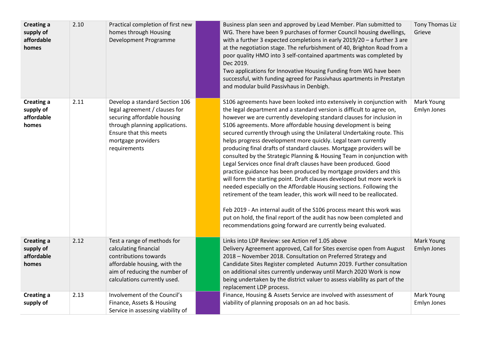| <b>Creating a</b><br>supply of<br>affordable<br>homes | 2.10 | Practical completion of first new<br>homes through Housing<br>Development Programme                                                                                                              | Business plan seen and approved by Lead Member. Plan submitted to<br>WG. There have been 9 purchases of former Council housing dwellings,<br>with a further 3 expected completions in early 2019/20 - a further 3 are<br>at the negotiation stage. The refurbishment of 40, Brighton Road from a<br>poor quality HMO into 3 self-contained apartments was completed by<br>Dec 2019.<br>Two applications for Innovative Housing Funding from WG have been<br>successful, with funding agreed for Passivhaus apartments in Prestatyn<br>and modular build Passivhaus in Denbigh.                                                                                                                                                                                                                                                                                                                                                                                                                                                                                                                                                                                               | Tony Thomas Liz<br>Grieve        |
|-------------------------------------------------------|------|--------------------------------------------------------------------------------------------------------------------------------------------------------------------------------------------------|------------------------------------------------------------------------------------------------------------------------------------------------------------------------------------------------------------------------------------------------------------------------------------------------------------------------------------------------------------------------------------------------------------------------------------------------------------------------------------------------------------------------------------------------------------------------------------------------------------------------------------------------------------------------------------------------------------------------------------------------------------------------------------------------------------------------------------------------------------------------------------------------------------------------------------------------------------------------------------------------------------------------------------------------------------------------------------------------------------------------------------------------------------------------------|----------------------------------|
| <b>Creating a</b><br>supply of<br>affordable<br>homes | 2.11 | Develop a standard Section 106<br>legal agreement / clauses for<br>securing affordable housing<br>through planning applications.<br>Ensure that this meets<br>mortgage providers<br>requirements | S106 agreements have been looked into extensively in conjunction with<br>the legal department and a standard version is difficult to agree on,<br>however we are currently developing standard clauses for inclusion in<br>S106 agreements. More affordable housing development is being<br>secured currently through using the Unilateral Undertaking route. This<br>helps progress development more quickly. Legal team currently<br>producing final drafts of standard clauses. Mortgage providers will be<br>consulted by the Strategic Planning & Housing Team in conjunction with<br>Legal Services once final draft clauses have been produced. Good<br>practice guidance has been produced by mortgage providers and this<br>will form the starting point. Draft clauses developed but more work is<br>needed especially on the Affordable Housing sections. Following the<br>retirement of the team leader, this work will need to be reallocated.<br>Feb 2019 - An internal audit of the S106 process meant this work was<br>put on hold, the final report of the audit has now been completed and<br>recommendations going forward are currently being evaluated. | Mark Young<br>Emlyn Jones        |
| <b>Creating a</b><br>supply of<br>affordable<br>homes | 2.12 | Test a range of methods for<br>calculating financial<br>contributions towards<br>affordable housing, with the<br>aim of reducing the number of<br>calculations currently used.                   | Links into LDP Review: see Action ref 1.05 above<br>Delivery Agreement approved, Call for Sites exercise open from August<br>2018 - November 2018. Consultation on Preferred Strategy and<br>Candidate Sites Register completed Autumn 2019. Further consultation<br>on additional sites currently underway until March 2020 Work is now<br>being undertaken by the district valuer to assess viability as part of the<br>replacement LDP process.                                                                                                                                                                                                                                                                                                                                                                                                                                                                                                                                                                                                                                                                                                                           | Mark Young<br><b>Emlyn Jones</b> |
| <b>Creating a</b><br>supply of                        | 2.13 | Involvement of the Council's<br>Finance, Assets & Housing<br>Service in assessing viability of                                                                                                   | Finance, Housing & Assets Service are involved with assessment of<br>viability of planning proposals on an ad hoc basis.                                                                                                                                                                                                                                                                                                                                                                                                                                                                                                                                                                                                                                                                                                                                                                                                                                                                                                                                                                                                                                                     | Mark Young<br>Emlyn Jones        |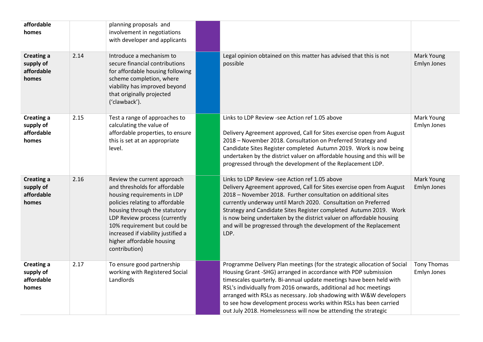| affordable<br>homes                                   |      | planning proposals and<br>involvement in negotiations<br>with developer and applicants                                                                                                                                                                                                                               |                                                                                                                                                                                                                                                                                                                                                                                                                                                                                                     |                                   |
|-------------------------------------------------------|------|----------------------------------------------------------------------------------------------------------------------------------------------------------------------------------------------------------------------------------------------------------------------------------------------------------------------|-----------------------------------------------------------------------------------------------------------------------------------------------------------------------------------------------------------------------------------------------------------------------------------------------------------------------------------------------------------------------------------------------------------------------------------------------------------------------------------------------------|-----------------------------------|
| <b>Creating a</b><br>supply of<br>affordable<br>homes | 2.14 | Introduce a mechanism to<br>secure financial contributions<br>for affordable housing following<br>scheme completion, where<br>viability has improved beyond<br>that originally projected<br>('clawback').                                                                                                            | Legal opinion obtained on this matter has advised that this is not<br>possible                                                                                                                                                                                                                                                                                                                                                                                                                      | Mark Young<br><b>Emlyn Jones</b>  |
| <b>Creating a</b><br>supply of<br>affordable<br>homes | 2.15 | Test a range of approaches to<br>calculating the value of<br>affordable properties, to ensure<br>this is set at an appropriate<br>level.                                                                                                                                                                             | Links to LDP Review -see Action ref 1.05 above<br>Delivery Agreement approved, Call for Sites exercise open from August<br>2018 - November 2018. Consultation on Preferred Strategy and<br>Candidate Sites Register completed Autumn 2019. Work is now being<br>undertaken by the district valuer on affordable housing and this will be<br>progressed through the development of the Replacement LDP.                                                                                              | Mark Young<br>Emlyn Jones         |
| <b>Creating a</b><br>supply of<br>affordable<br>homes | 2.16 | Review the current approach<br>and thresholds for affordable<br>housing requirements in LDP<br>policies relating to affordable<br>housing through the statutory<br>LDP Review process (currently<br>10% requirement but could be<br>increased if viability justified a<br>higher affordable housing<br>contribution) | Links to LDP Review -see Action ref 1.05 above<br>Delivery Agreement approved, Call for Sites exercise open from August<br>2018 - November 2018. Further consultation on additional sites<br>currently underway until March 2020. Consultation on Preferred<br>Strategy and Candidate Sites Register completed Autumn 2019. Work<br>is now being undertaken by the district valuer on affordable housing<br>and will be progressed through the development of the Replacement<br>LDP.               | Mark Young<br>Emlyn Jones         |
| <b>Creating a</b><br>supply of<br>affordable<br>homes | 2.17 | To ensure good partnership<br>working with Registered Social<br>Landlords                                                                                                                                                                                                                                            | Programme Delivery Plan meetings (for the strategic allocation of Social<br>Housing Grant -SHG) arranged in accordance with PDP submission<br>timescales quarterly. Bi-annual update meetings have been held with<br>RSL's individually from 2016 onwards, additional ad hoc meetings<br>arranged with RSLs as necessary. Job shadowing with W&W developers<br>to see how development process works within RSLs has been carried<br>out July 2018. Homelessness will now be attending the strategic | <b>Tony Thomas</b><br>Emlyn Jones |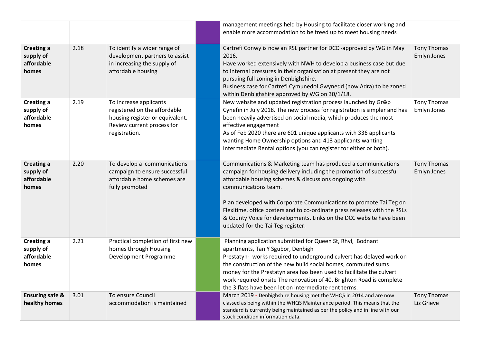|                                                       |      |                                                                                                                                          | management meetings held by Housing to facilitate closer working and<br>enable more accommodation to be freed up to meet housing needs                                                                                                                                                                                                                                                                                                                                               |                                   |
|-------------------------------------------------------|------|------------------------------------------------------------------------------------------------------------------------------------------|--------------------------------------------------------------------------------------------------------------------------------------------------------------------------------------------------------------------------------------------------------------------------------------------------------------------------------------------------------------------------------------------------------------------------------------------------------------------------------------|-----------------------------------|
| <b>Creating a</b><br>supply of<br>affordable<br>homes | 2.18 | To identify a wider range of<br>development partners to assist<br>in increasing the supply of<br>affordable housing                      | Cartrefi Conwy is now an RSL partner for DCC -approved by WG in May<br>2016.<br>Have worked extensively with NWH to develop a business case but due<br>to internal pressures in their organisation at present they are not<br>pursuing full zoning in Denbighshire.<br>Business case for Cartrefi Cymunedol Gwynedd (now Adra) to be zoned<br>within Denbighshire approved by WG on 30/1/18.                                                                                         | <b>Tony Thomas</b><br>Emlyn Jones |
| <b>Creating a</b><br>supply of<br>affordable<br>homes | 2.19 | To increase applicants<br>registered on the affordable<br>housing register or equivalent.<br>Review current process for<br>registration. | New website and updated registration process launched by Grŵp<br>Cynefin in July 2018. The new process for registration is simpler and has<br>been heavily advertised on social media, which produces the most<br>effective engagement<br>As of Feb 2020 there are 601 unique applicants with 336 applicants<br>wanting Home Ownership options and 413 applicants wanting<br>Intermediate Rental options (you can register for either or both).                                      | Tony Thomas<br>Emlyn Jones        |
| <b>Creating a</b><br>supply of<br>affordable<br>homes | 2.20 | To develop a communications<br>campaign to ensure successful<br>affordable home schemes are<br>fully promoted                            | Communications & Marketing team has produced a communications<br>campaign for housing delivery including the promotion of successful<br>affordable housing schemes & discussions ongoing with<br>communications team.<br>Plan developed with Corporate Communications to promote Tai Teg on<br>Flexitime, office posters and to co-ordinate press releases with the RSLs<br>& County Voice for developments. Links on the DCC website have been<br>updated for the Tai Teg register. | <b>Tony Thomas</b><br>Emlyn Jones |
| <b>Creating a</b><br>supply of<br>affordable<br>homes | 2.21 | Practical completion of first new<br>homes through Housing<br>Development Programme                                                      | Planning application submitted for Queen St, Rhyl, Bodnant<br>apartments, Tan Y Sgubor, Denbigh<br>Prestatyn- works required to underground culvert has delayed work on<br>the construction of the new build social homes, commuted sums<br>money for the Prestatyn area has been used to facilitate the culvert<br>work required onsite The renovation of 40, Brighton Road is complete<br>the 3 flats have been let on intermediate rent terms.                                    |                                   |
| <b>Ensuring safe &amp;</b><br>healthy homes           | 3.01 | To ensure Council<br>accommodation is maintained                                                                                         | March 2019 - Denbighshire housing met the WHQS in 2014 and are now<br>classed as being within the WHQS Maintenance period. This means that the<br>standard is currently being maintained as per the policy and in line with our<br>stock condition information data.                                                                                                                                                                                                                 | <b>Tony Thomas</b><br>Liz Grieve  |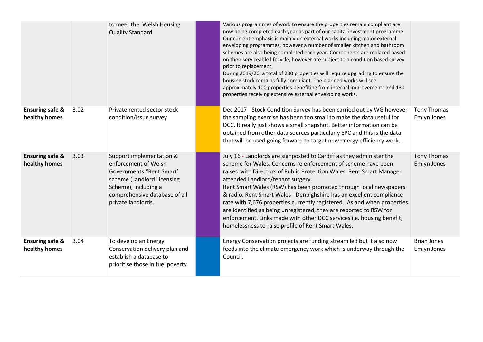|                                             |      | to meet the Welsh Housing<br><b>Quality Standard</b>                                                                                                                                      | Various programmes of work to ensure the properties remain compliant are<br>now being completed each year as part of our capital investment programme.<br>Our current emphasis is mainly on external works including major external<br>enveloping programmes, however a number of smaller kitchen and bathroom<br>schemes are also being completed each year. Components are replaced based<br>on their serviceable lifecycle, however are subject to a condition based survey<br>prior to replacement.<br>During 2019/20, a total of 230 properties will require upgrading to ensure the<br>housing stock remains fully compliant. The planned works will see<br>approximately 100 properties benefiting from internal improvements and 130<br>properties receiving extensive external enveloping works. |                                   |
|---------------------------------------------|------|-------------------------------------------------------------------------------------------------------------------------------------------------------------------------------------------|-----------------------------------------------------------------------------------------------------------------------------------------------------------------------------------------------------------------------------------------------------------------------------------------------------------------------------------------------------------------------------------------------------------------------------------------------------------------------------------------------------------------------------------------------------------------------------------------------------------------------------------------------------------------------------------------------------------------------------------------------------------------------------------------------------------|-----------------------------------|
| <b>Ensuring safe &amp;</b><br>healthy homes | 3.02 | Private rented sector stock<br>condition/issue survey                                                                                                                                     | Dec 2017 - Stock Condition Survey has been carried out by WG however<br>the sampling exercise has been too small to make the data useful for<br>DCC. It really just shows a small snapshot. Better information can be<br>obtained from other data sources particularly EPC and this is the data<br>that will be used going forward to target new energy efficiency work                                                                                                                                                                                                                                                                                                                                                                                                                                   | Tony Thomas<br>Emlyn Jones        |
| <b>Ensuring safe &amp;</b><br>healthy homes | 3.03 | Support implementation &<br>enforcement of Welsh<br>Governments "Rent Smart"<br>scheme (Landlord Licensing<br>Scheme), including a<br>comprehensive database of all<br>private landlords. | July 16 - Landlords are signposted to Cardiff as they administer the<br>scheme for Wales. Concerns re enforcement of scheme have been<br>raised with Directors of Public Protection Wales. Rent Smart Manager<br>attended Landlord/tenant surgery.<br>Rent Smart Wales (RSW) has been promoted through local newspapers<br>& radio. Rent Smart Wales - Denbighshire has an excellent compliance<br>rate with 7,676 properties currently registered. As and when properties<br>are identified as being unregistered, they are reported to RSW for<br>enforcement. Links made with other DCC services i.e. housing benefit,<br>homelessness to raise profile of Rent Smart Wales.                                                                                                                           | Tony Thomas<br>Emlyn Jones        |
| <b>Ensuring safe &amp;</b><br>healthy homes | 3.04 | To develop an Energy<br>Conservation delivery plan and<br>establish a database to<br>prioritise those in fuel poverty                                                                     | Energy Conservation projects are funding stream led but it also now<br>feeds into the climate emergency work which is underway through the<br>Council.                                                                                                                                                                                                                                                                                                                                                                                                                                                                                                                                                                                                                                                    | <b>Brian Jones</b><br>Emlyn Jones |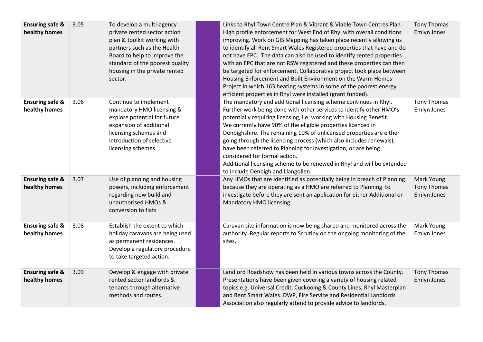| <b>Ensuring safe &amp;</b><br>healthy homes | 3.05 | To develop a multi-agency<br>private rented sector action<br>plan & toolkit working with<br>partners such as the Health<br>Board to help to improve the<br>standard of the poorest quality<br>housing in the private rented<br>sector. | Links to Rhyl Town Centre Plan & Vibrant & Viable Town Centres Plan.<br>High profile enforcement for West End of Rhyl with overall conditions<br>improving. Work on GIS Mapping has taken place recently allowing us<br>to identify all Rent Smart Wales Registered properties that have and do<br>not have EPC. The data can also be used to identify rented properties<br>with an EPC that are not RSW registered and these properties can then<br>be targeted for enforcement. Collaborative project took place between<br>Housing Enforcement and Built Environment on the Warm Homes<br>Project in which 163 heating systems in some of the poorest energy<br>efficient properties in Rhyl were installed (grant funded). | <b>Tony Thomas</b><br>Emlyn Jones        |
|---------------------------------------------|------|----------------------------------------------------------------------------------------------------------------------------------------------------------------------------------------------------------------------------------------|--------------------------------------------------------------------------------------------------------------------------------------------------------------------------------------------------------------------------------------------------------------------------------------------------------------------------------------------------------------------------------------------------------------------------------------------------------------------------------------------------------------------------------------------------------------------------------------------------------------------------------------------------------------------------------------------------------------------------------|------------------------------------------|
| <b>Ensuring safe &amp;</b><br>healthy homes | 3.06 | Continue to implement<br>mandatory HMO licensing &<br>explore potential for future<br>expansion of additional<br>licensing schemes and<br>introduction of selective<br>licensing schemes                                               | The mandatory and additional licensing scheme continues in Rhyl.<br>Further work being done with other services to identify other HMO's<br>potentially requiring licensing, i.e. working with Housing Benefit.<br>We currently have 90% of the eligible properties licenced in<br>Denbighshire. The remaining 10% of unlicensed properties are either<br>going through the licencing process (which also includes renewals),<br>have been referred to Planning for investigation, or are being<br>considered for formal action.<br>Additional licensing scheme to be renewed in Rhyl and will be extended<br>to include Denbigh and Llangollen.                                                                                | <b>Tony Thomas</b><br>Emlyn Jones        |
| <b>Ensuring safe &amp;</b><br>healthy homes | 3.07 | Use of planning and housing<br>powers, including enforcement<br>regarding new build and<br>unauthorised HMOs &<br>conversion to flats                                                                                                  | Any HMOs that are identified as potentially being in breach of Planning<br>because they are operating as a HMO are referred to Planning to<br>investigate before they are sent an application for either Additional or<br>Mandatory HMO licensing.                                                                                                                                                                                                                                                                                                                                                                                                                                                                             | Mark Young<br>Tony Thomas<br>Emlyn Jones |
| <b>Ensuring safe &amp;</b><br>healthy homes | 3.08 | Establish the extent to which<br>holiday caravans are being used<br>as permanent residences.<br>Develop a regulatory procedure<br>to take targeted action.                                                                             | Caravan site information is now being shared and monitored across the<br>authority. Regular reports to Scrutiny on the ongoing monitoring of the<br>sites.                                                                                                                                                                                                                                                                                                                                                                                                                                                                                                                                                                     | Mark Young<br>Emlyn Jones                |
| <b>Ensuring safe &amp;</b><br>healthy homes | 3.09 | Develop & engage with private<br>rented sector landlords &<br>tenants through alternative<br>methods and routes.                                                                                                                       | Landlord Roadshow has been held in various towns across the County.<br>Presentations have been given covering a variety of housing related<br>topics e.g. Universal Credit, Cuckooing & County Lines, Rhyl Masterplan<br>and Rent Smart Wales. DWP, Fire Service and Residential Landlords<br>Association also regularly attend to provide advice to landlords.                                                                                                                                                                                                                                                                                                                                                                | Tony Thomas<br>Emlyn Jones               |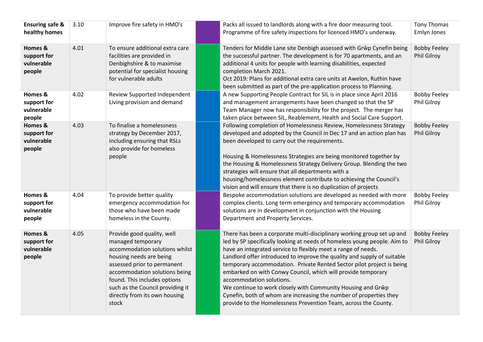| <b>Ensuring safe &amp;</b><br>healthy homes    | 3.10 | Improve fire safety in HMO's                                                                                                                                                                                                                                                               | Packs all issued to landlords along with a fire door measuring tool.<br>Programme of fire safety inspections for licenced HMO's underway.                                                                                                                                                                                                                                                                                                                                                                                                                                                                                                                                   | <b>Tony Thomas</b><br>Emlyn Jones  |
|------------------------------------------------|------|--------------------------------------------------------------------------------------------------------------------------------------------------------------------------------------------------------------------------------------------------------------------------------------------|-----------------------------------------------------------------------------------------------------------------------------------------------------------------------------------------------------------------------------------------------------------------------------------------------------------------------------------------------------------------------------------------------------------------------------------------------------------------------------------------------------------------------------------------------------------------------------------------------------------------------------------------------------------------------------|------------------------------------|
| Homes &<br>support for<br>vulnerable<br>people | 4.01 | To ensure additional extra care<br>facilities are provided in<br>Denbighshire & to maximise<br>potential for specialist housing<br>for vulnerable adults                                                                                                                                   | Tenders for Middle Lane site Denbigh assessed with Grŵp Cynefin being<br>the successful partner. The development is for 70 apartments, and an<br>additional 4 units for people with learning disabilities, expected<br>completion March 2021.<br>Oct 2019: Plans for additional extra care units at Awelon, Ruthin have<br>been submitted as part of the pre-application process to Planning.                                                                                                                                                                                                                                                                               | <b>Bobby Feeley</b><br>Phil Gilroy |
| Homes &<br>support for<br>vulnerable<br>people | 4.02 | Review Supported Independent<br>Living provision and demand                                                                                                                                                                                                                                | A new Supporting People Contract for SIL is in place since April 2016<br>and management arrangements have been changed so that the SP<br>Team Manager now has responsibility for the project. The merger has<br>taken place between SIL, Reablement, Health and Social Care Support.                                                                                                                                                                                                                                                                                                                                                                                        | <b>Bobby Feeley</b><br>Phil Gilroy |
| Homes &<br>support for<br>vulnerable<br>people | 4.03 | To finalise a homelessness<br>strategy by December 2017,<br>including ensuring that RSLs<br>also provide for homeless<br>people                                                                                                                                                            | Following completion of Homelessness Review, Homelessness Strategy<br>developed and adopted by the Council in Dec 17 and an action plan has<br>been developed to carry out the requirements.<br>Housing & Homelessness Strategies are being monitored together by<br>the Housing & Homelessness Strategy Delivery Group. Blending the two<br>strategies will ensure that all departments with a<br>housing/homelessness element contribute to achieving the Council's<br>vision and will ensure that there is no duplication of projects                                                                                                                                    | <b>Bobby Feeley</b><br>Phil Gilroy |
| Homes &<br>support for<br>vulnerable<br>people | 4.04 | To provide better quality<br>emergency accommodation for<br>those who have been made<br>homeless in the County.                                                                                                                                                                            | Bespoke accommodation solutions are developed as needed with more<br>complex clients. Long term emergency and temporary accommodation<br>solutions are in development in conjunction with the Housing<br>Department and Property Services.                                                                                                                                                                                                                                                                                                                                                                                                                                  | <b>Bobby Feeley</b><br>Phil Gilroy |
| Homes &<br>support for<br>vulnerable<br>people | 4.05 | Provide good quality, well<br>managed temporary<br>accommodation solutions whilst<br>housing needs are being<br>assessed prior to permanent<br>accommodation solutions being<br>found. This includes options<br>such as the Council providing it<br>directly from its own housing<br>stock | There has been a corporate multi-disciplinary working group set up and<br>led by SP specifically looking at needs of homeless young people. Aim to<br>have an integrated service to flexibly meet a range of needs.<br>Landlord offer introduced to improve the quality and supply of suitable<br>temporary accommodation. Private Rented Sector pilot project is being<br>embarked on with Conwy Council, which will provide temporary<br>accommodation solutions.<br>We continue to work closely with Community Housing and Grŵp<br>Cynefin, both of whom are increasing the number of properties they<br>provide to the Homelessness Prevention Team, across the County. | <b>Bobby Feeley</b><br>Phil Gilroy |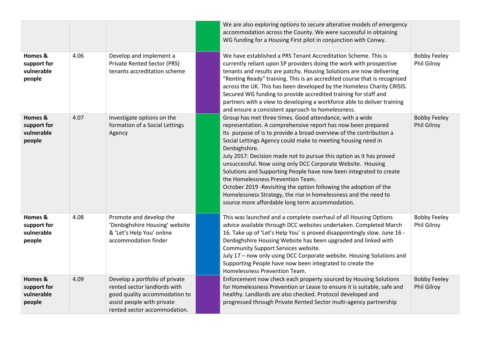|                                                |      |                                                                                                                                                               | We are also exploring options to secure alterative models of emergency<br>accommodation across the County. We were successful in obtaining<br>WG funding for a Housing First pilot in conjunction with Conwy.                                                                                                                                                                                                                                                                                                                                                                                                                                                                                                                |                                           |
|------------------------------------------------|------|---------------------------------------------------------------------------------------------------------------------------------------------------------------|------------------------------------------------------------------------------------------------------------------------------------------------------------------------------------------------------------------------------------------------------------------------------------------------------------------------------------------------------------------------------------------------------------------------------------------------------------------------------------------------------------------------------------------------------------------------------------------------------------------------------------------------------------------------------------------------------------------------------|-------------------------------------------|
| Homes &<br>support for<br>vulnerable<br>people | 4.06 | Develop and implement a<br>Private Rented Sector (PRS)<br>tenants accreditation scheme                                                                        | We have established a PRS Tenant Accreditation Scheme. This is<br>currently reliant upon SP providers doing the work with prospective<br>tenants and results are patchy. Housing Solutions are now delivering<br>"Renting Ready" training. This is an accredited course that is recognised<br>across the UK. This has been developed by the Homeless Charity CRISIS.<br>Secured WG funding to provide accredited training for staff and<br>partners with a view to developing a workforce able to deliver training<br>and ensure a consistent approach to homelessness.                                                                                                                                                      | <b>Bobby Feeley</b><br><b>Phil Gilroy</b> |
| Homes &<br>support for<br>vulnerable<br>people | 4.07 | Investigate options on the<br>formation of a Social Lettings<br>Agency                                                                                        | Group has met three times. Good attendance, with a wide<br>representation. A comprehensive report has now been prepared<br>Its purpose of is to provide a broad overview of the contribution a<br>Social Lettings Agency could make to meeting housing need in<br>Denbighshire.<br>July 2017: Decision made not to pursue this option as it has proved<br>unsuccessful. Now using only DCC Corporate Website. Housing<br>Solutions and Supporting People have now been integrated to create<br>the Homelessness Prevention Team.<br>October 2019 - Revisiting the option following the adoption of the<br>Homelessness Strategy, the rise in homelessness and the need to<br>source more affordable long term accommodation. | <b>Bobby Feeley</b><br>Phil Gilroy        |
| Homes &<br>support for<br>vulnerable<br>people | 4.08 | Promote and develop the<br>'Denbighshire Housing' website<br>& 'Let's Help You' online<br>accommodation finder                                                | This was launched and a complete overhaul of all Housing Options<br>advice available through DCC websites undertaken. Completed March<br>16. Take up of 'Let's Help You' is proved disappointingly slow. June 16 -<br>Denbighshire Housing Website has been upgraded and linked with<br>Community Support Services website.<br>July 17 - now only using DCC Corporate website. Housing Solutions and<br>Supporting People have now been integrated to create the<br>Homelessness Prevention Team.                                                                                                                                                                                                                            | <b>Bobby Feeley</b><br><b>Phil Gilroy</b> |
| Homes &<br>support for<br>vulnerable<br>people | 4.09 | Develop a portfolio of private<br>rented sector landlords with<br>good quality accommodation to<br>assist people with private<br>rented sector accommodation. | Enforcement now check each property sourced by Housing Solutions<br>for Homelessness Prevention or Lease to ensure it is suitable, safe and<br>healthy. Landlords are also checked. Protocol developed and<br>progressed through Private Rented Sector multi-agency partnership                                                                                                                                                                                                                                                                                                                                                                                                                                              | <b>Bobby Feeley</b><br>Phil Gilroy        |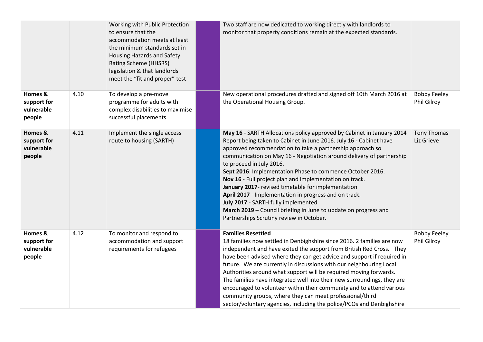|                                                |      | Working with Public Protection<br>to ensure that the<br>accommodation meets at least<br>the minimum standards set in<br><b>Housing Hazards and Safety</b><br>Rating Scheme (HHSRS)<br>legislation & that landlords<br>meet the "fit and proper" test | Two staff are now dedicated to working directly with landlords to<br>monitor that property conditions remain at the expected standards.                                                                                                                                                                                                                                                                                                                                                                                                                                                                                                                                                                   |                                           |
|------------------------------------------------|------|------------------------------------------------------------------------------------------------------------------------------------------------------------------------------------------------------------------------------------------------------|-----------------------------------------------------------------------------------------------------------------------------------------------------------------------------------------------------------------------------------------------------------------------------------------------------------------------------------------------------------------------------------------------------------------------------------------------------------------------------------------------------------------------------------------------------------------------------------------------------------------------------------------------------------------------------------------------------------|-------------------------------------------|
| Homes &<br>support for<br>vulnerable<br>people | 4.10 | To develop a pre-move<br>programme for adults with<br>complex disabilities to maximise<br>successful placements                                                                                                                                      | New operational procedures drafted and signed off 10th March 2016 at<br>the Operational Housing Group.                                                                                                                                                                                                                                                                                                                                                                                                                                                                                                                                                                                                    | <b>Bobby Feeley</b><br>Phil Gilroy        |
| Homes &<br>support for<br>vulnerable<br>people | 4.11 | Implement the single access<br>route to housing (SARTH)                                                                                                                                                                                              | May 16 - SARTH Allocations policy approved by Cabinet in January 2014<br>Report being taken to Cabinet in June 2016. July 16 - Cabinet have<br>approved recommendation to take a partnership approach so<br>communication on May 16 - Negotiation around delivery of partnership<br>to proceed in July 2016.<br>Sept 2016: Implementation Phase to commence October 2016.<br>Nov 16 - Full project plan and implementation on track.<br>January 2017- revised timetable for implementation<br>April 2017 - Implementation in progress and on track.<br>July 2017 - SARTH fully implemented<br>March 2019 - Council briefing in June to update on progress and<br>Partnerships Scrutiny review in October. | <b>Tony Thomas</b><br>Liz Grieve          |
| Homes &<br>support for<br>vulnerable<br>people | 4.12 | To monitor and respond to<br>accommodation and support<br>requirements for refugees                                                                                                                                                                  | <b>Families Resettled</b><br>18 families now settled in Denbighshire since 2016. 2 families are now<br>independent and have exited the support from British Red Cross. They<br>have been advised where they can get advice and support if required in<br>future. We are currently in discussions with our neighbouring Local<br>Authorities around what support will be required moving forwards.<br>The families have integrated well into their new surroundings, they are<br>encouraged to volunteer within their community and to attend various<br>community groups, where they can meet professional/third<br>sector/voluntary agencies, including the police/PCOs and Denbighshire                 | <b>Bobby Feeley</b><br><b>Phil Gilroy</b> |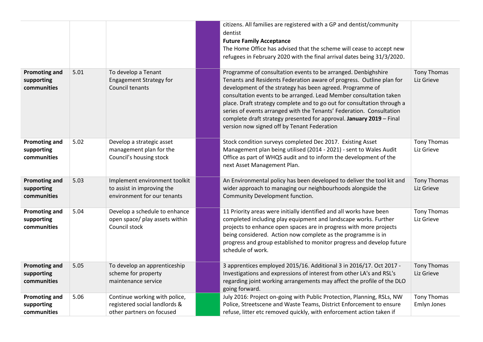|                                                   |      |                                                                                             | citizens. All families are registered with a GP and dentist/community<br>dentist<br><b>Future Family Acceptance</b><br>The Home Office has advised that the scheme will cease to accept new<br>refugees in February 2020 with the final arrival dates being 31/3/2020.                                                                                                                                                                                                                                                                             |                                  |
|---------------------------------------------------|------|---------------------------------------------------------------------------------------------|----------------------------------------------------------------------------------------------------------------------------------------------------------------------------------------------------------------------------------------------------------------------------------------------------------------------------------------------------------------------------------------------------------------------------------------------------------------------------------------------------------------------------------------------------|----------------------------------|
| <b>Promoting and</b><br>supporting<br>communities | 5.01 | To develop a Tenant<br><b>Engagement Strategy for</b><br>Council tenants                    | Programme of consultation events to be arranged. Denbighshire<br>Tenants and Residents Federation aware of progress. Outline plan for<br>development of the strategy has been agreed. Programme of<br>consultation events to be arranged. Lead Member consultation taken<br>place. Draft strategy complete and to go out for consultation through a<br>series of events arranged with the Tenants' Federation. Consultation<br>complete draft strategy presented for approval. January 2019 - Final<br>version now signed off by Tenant Federation | <b>Tony Thomas</b><br>Liz Grieve |
| <b>Promoting and</b><br>supporting<br>communities | 5.02 | Develop a strategic asset<br>management plan for the<br>Council's housing stock             | Stock condition surveys completed Dec 2017. Existing Asset<br>Management plan being utilised (2014 - 2021) - sent to Wales Audit<br>Office as part of WHQS audit and to inform the development of the<br>next Asset Management Plan.                                                                                                                                                                                                                                                                                                               | <b>Tony Thomas</b><br>Liz Grieve |
| <b>Promoting and</b><br>supporting<br>communities | 5.03 | Implement environment toolkit<br>to assist in improving the<br>environment for our tenants  | An Environmental policy has been developed to deliver the tool kit and<br>wider approach to managing our neighbourhoods alongside the<br>Community Development function.                                                                                                                                                                                                                                                                                                                                                                           | Tony Thomas<br>Liz Grieve        |
| <b>Promoting and</b><br>supporting<br>communities | 5.04 | Develop a schedule to enhance<br>open space/ play assets within<br>Council stock            | 11 Priority areas were initially identified and all works have been<br>completed including play equipment and landscape works. Further<br>projects to enhance open spaces are in progress with more projects<br>being considered. Action now complete as the programme is in<br>progress and group established to monitor progress and develop future<br>schedule of work.                                                                                                                                                                         | <b>Tony Thomas</b><br>Liz Grieve |
| <b>Promoting and</b><br>supporting<br>communities | 5.05 | To develop an apprenticeship<br>scheme for property<br>maintenance service                  | 3 apprentices employed 2015/16. Additional 3 in 2016/17. Oct 2017 -<br>Investigations and expressions of interest from other LA's and RSL's<br>regarding joint working arrangements may affect the profile of the DLO<br>going forward.                                                                                                                                                                                                                                                                                                            | <b>Tony Thomas</b><br>Liz Grieve |
| <b>Promoting and</b><br>supporting<br>communities | 5.06 | Continue working with police,<br>registered social landlords &<br>other partners on focused | July 2016: Project on-going with Public Protection, Planning, RSLs, NW<br>Police, Streetscene and Waste Teams, District Enforcement to ensure<br>refuse, litter etc removed quickly, with enforcement action taken if                                                                                                                                                                                                                                                                                                                              | Tony Thomas<br>Emlyn Jones       |